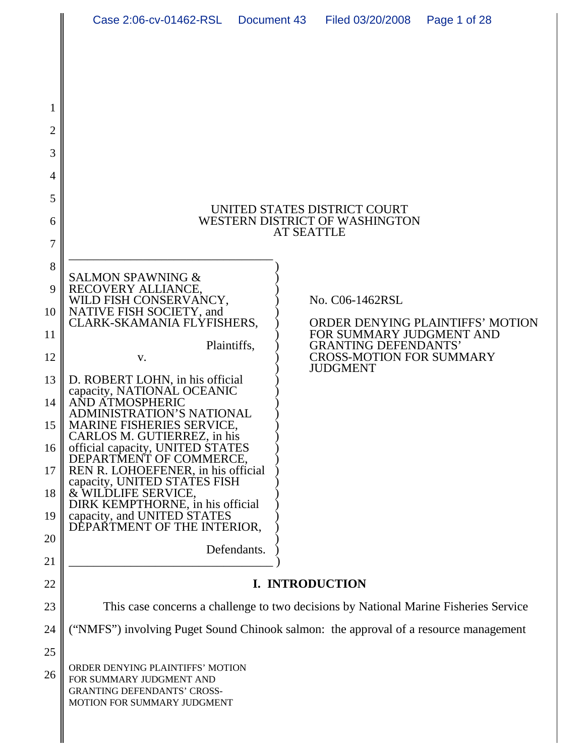|                                                                                                                                            | Case 2:06-cv-01462-RSL  Document 43  Filed 03/20/2008                                                                                                                                                                                                                                                                                                                                                                                                                                                                                                                                                                                                                                                                   |                                                                                                                                  | Page 1 of 28                            |  |
|--------------------------------------------------------------------------------------------------------------------------------------------|-------------------------------------------------------------------------------------------------------------------------------------------------------------------------------------------------------------------------------------------------------------------------------------------------------------------------------------------------------------------------------------------------------------------------------------------------------------------------------------------------------------------------------------------------------------------------------------------------------------------------------------------------------------------------------------------------------------------------|----------------------------------------------------------------------------------------------------------------------------------|-----------------------------------------|--|
| 1<br>2<br>3<br>4<br>5<br>6<br>7<br>8<br>9<br>10<br>11<br>12<br>13<br>14 <sup>1</sup><br>$15 \parallel$<br>16<br>17<br>18<br>19<br>20<br>21 | UNITED STATES DISTRICT COURT<br>WESTERN DISTRICT OF WASHINGTON<br><b>AT SEATTLE</b><br><b>SALMON SPAWNING &amp;</b><br>RECOVERY ALLIANCE,<br>WILD FISH CONSERVANCY, NATIVE FISH SOCIETY, and<br>CLARK-SKAMANIA FLÝFISHERS,<br>Plaintiffs,<br>V.<br>D. ROBERT LOHN, in his official<br>capacity, NATIONAL OCEANIC<br>AND ATMOSPHERIC<br><b>ADMINISTRATION'S NATIONAL</b><br><b>MARINE FISHERIES SERVICE,</b><br>CARLOS M. GUTIERREZ, in his<br>official capacity, UNITED STATES<br>DEPARTMENT OF COMMERCE,<br>REN R. LOHOEFENER, in his official<br>capacity, UNITED STATES FISH<br>& WILDLIFE SERVICE,<br>DIRK KEMPTHORNE, in his official<br>capacity, and UNITED STATES<br>DÉPAŘTMENT OF THE INTERIOR,<br>Defendants. | No. C06-1462RSL<br>FOR SUMMARY JUDGMENT AND<br><b>GRANTING DEFENDANTS'</b><br><b>CROSS-MOTION FOR SUMMARY</b><br><b>JUDGMENT</b> | <b>ORDER DENYING PLAINTIFFS' MOTION</b> |  |
| 22                                                                                                                                         |                                                                                                                                                                                                                                                                                                                                                                                                                                                                                                                                                                                                                                                                                                                         | <b>I. INTRODUCTION</b>                                                                                                           |                                         |  |
| 23                                                                                                                                         |                                                                                                                                                                                                                                                                                                                                                                                                                                                                                                                                                                                                                                                                                                                         | This case concerns a challenge to two decisions by National Marine Fisheries Service                                             |                                         |  |
| 24                                                                                                                                         |                                                                                                                                                                                                                                                                                                                                                                                                                                                                                                                                                                                                                                                                                                                         | ("NMFS") involving Puget Sound Chinook salmon: the approval of a resource management                                             |                                         |  |
| 25                                                                                                                                         |                                                                                                                                                                                                                                                                                                                                                                                                                                                                                                                                                                                                                                                                                                                         |                                                                                                                                  |                                         |  |
| 26                                                                                                                                         | ORDER DENYING PLAINTIFFS' MOTION<br>FOR SUMMARY JUDGMENT AND<br><b>GRANTING DEFENDANTS' CROSS-</b><br>MOTION FOR SUMMARY JUDGMENT                                                                                                                                                                                                                                                                                                                                                                                                                                                                                                                                                                                       |                                                                                                                                  |                                         |  |
|                                                                                                                                            |                                                                                                                                                                                                                                                                                                                                                                                                                                                                                                                                                                                                                                                                                                                         |                                                                                                                                  |                                         |  |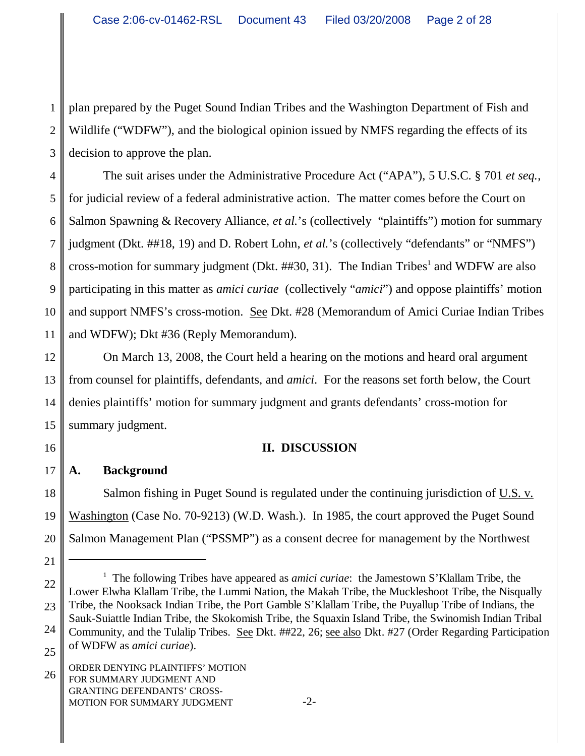1 2 3 plan prepared by the Puget Sound Indian Tribes and the Washington Department of Fish and Wildlife ("WDFW"), and the biological opinion issued by NMFS regarding the effects of its decision to approve the plan.

4 5 6 7 8 9 10 11 The suit arises under the Administrative Procedure Act ("APA"), 5 U.S.C. § 701 *et seq.*, for judicial review of a federal administrative action. The matter comes before the Court on Salmon Spawning & Recovery Alliance, *et al.*'s (collectively "plaintiffs") motion for summary judgment (Dkt. ##18, 19) and D. Robert Lohn, *et al.*'s (collectively "defendants" or "NMFS") cross-motion for summary judgment (Dkt. ##30, 31). The Indian Tribes<sup>1</sup> and WDFW are also participating in this matter as *amici curiae* (collectively "*amici*") and oppose plaintiffs' motion and support NMFS's cross-motion. See Dkt. #28 (Memorandum of Amici Curiae Indian Tribes and WDFW); Dkt #36 (Reply Memorandum).

12 13 14 15 On March 13, 2008, the Court held a hearing on the motions and heard oral argument from counsel for plaintiffs, defendants, and *amici*. For the reasons set forth below, the Court denies plaintiffs' motion for summary judgment and grants defendants' cross-motion for summary judgment.

## **II. DISCUSSION**

# **A. Background**

16

17

18

19

20

21

Salmon fishing in Puget Sound is regulated under the continuing jurisdiction of U.S. v. Washington (Case No. 70-9213) (W.D. Wash.). In 1985, the court approved the Puget Sound Salmon Management Plan ("PSSMP") as a consent decree for management by the Northwest

<sup>22</sup> 23 24 25 <sup>1</sup> The following Tribes have appeared as *amici curiae*: the Jamestown S'Klallam Tribe, the Lower Elwha Klallam Tribe, the Lummi Nation, the Makah Tribe, the Muckleshoot Tribe, the Nisqually Tribe, the Nooksack Indian Tribe, the Port Gamble S'Klallam Tribe, the Puyallup Tribe of Indians, the Sauk-Suiattle Indian Tribe, the Skokomish Tribe, the Squaxin Island Tribe, the Swinomish Indian Tribal Community, and the Tulalip Tribes. See Dkt. ##22, 26; see also Dkt. #27 (Order Regarding Participation of WDFW as *amici curiae*).

<sup>26</sup> ORDER DENYING PLAINTIFFS' MOTION FOR SUMMARY JUDGMENT AND GRANTING DEFENDANTS' CROSS-MOTION FOR SUMMARY JUDGMENT -2-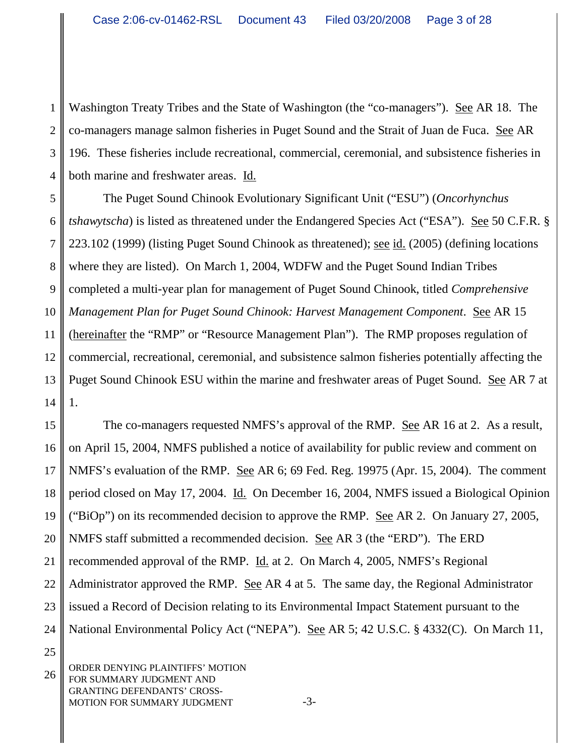1 2 3 4 Washington Treaty Tribes and the State of Washington (the "co-managers"). See AR 18. The co-managers manage salmon fisheries in Puget Sound and the Strait of Juan de Fuca. See AR 196. These fisheries include recreational, commercial, ceremonial, and subsistence fisheries in both marine and freshwater areas. Id.

5 6 7 8 9 10 11 12 13 14 The Puget Sound Chinook Evolutionary Significant Unit ("ESU") (*Oncorhynchus tshawytscha*) is listed as threatened under the Endangered Species Act ("ESA"). See 50 C.F.R. § 223.102 (1999) (listing Puget Sound Chinook as threatened); <u>see id.</u> (2005) (defining locations where they are listed). On March 1, 2004, WDFW and the Puget Sound Indian Tribes completed a multi-year plan for management of Puget Sound Chinook, titled *Comprehensive Management Plan for Puget Sound Chinook: Harvest Management Component*. See AR 15 (hereinafter the "RMP" or "Resource Management Plan"). The RMP proposes regulation of commercial, recreational, ceremonial, and subsistence salmon fisheries potentially affecting the Puget Sound Chinook ESU within the marine and freshwater areas of Puget Sound. See AR 7 at 1.

15 16 17 18 19 20 21 22 23 24 The co-managers requested NMFS's approval of the RMP. See AR 16 at 2. As a result, on April 15, 2004, NMFS published a notice of availability for public review and comment on NMFS's evaluation of the RMP. See AR 6; 69 Fed. Reg. 19975 (Apr. 15, 2004). The comment period closed on May 17, 2004. Id. On December 16, 2004, NMFS issued a Biological Opinion ("BiOp") on its recommended decision to approve the RMP. See AR 2. On January 27, 2005, NMFS staff submitted a recommended decision. See AR 3 (the "ERD"). The ERD recommended approval of the RMP. Id. at 2. On March 4, 2005, NMFS's Regional Administrator approved the RMP. See AR 4 at 5. The same day, the Regional Administrator issued a Record of Decision relating to its Environmental Impact Statement pursuant to the National Environmental Policy Act ("NEPA"). See AR 5; 42 U.S.C. § 4332(C). On March 11,

26 ORDER DENYING PLAINTIFFS' MOTION FOR SUMMARY JUDGMENT AND GRANTING DEFENDANTS' CROSS-MOTION FOR SUMMARY JUDGMENT -3-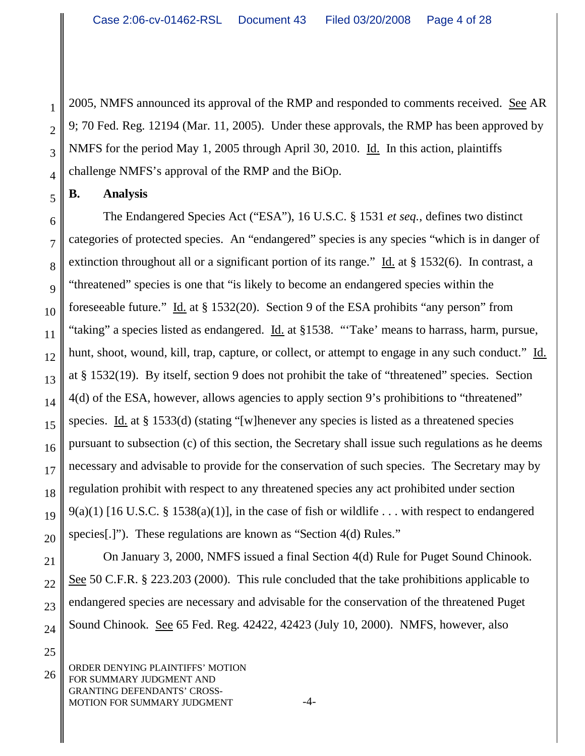2005, NMFS announced its approval of the RMP and responded to comments received. See AR 9; 70 Fed. Reg. 12194 (Mar. 11, 2005). Under these approvals, the RMP has been approved by NMFS for the period May 1, 2005 through April 30, 2010. Id. In this action, plaintiffs challenge NMFS's approval of the RMP and the BiOp.

### **B. Analysis**

The Endangered Species Act ("ESA"), 16 U.S.C. § 1531 *et seq.*, defines two distinct categories of protected species. An "endangered" species is any species "which is in danger of extinction throughout all or a significant portion of its range."  $\underline{Id}$  at § 1532(6). In contrast, a "threatened" species is one that "is likely to become an endangered species within the foreseeable future." Id. at § 1532(20). Section 9 of the ESA prohibits "any person" from "taking" a species listed as endangered. Id. at §1538. "Take' means to harrass, harm, pursue, hunt, shoot, wound, kill, trap, capture, or collect, or attempt to engage in any such conduct." Id. at § 1532(19). By itself, section 9 does not prohibit the take of "threatened" species. Section 4(d) of the ESA, however, allows agencies to apply section 9's prohibitions to "threatened" species. Id. at § 1533(d) (stating "[w]henever any species is listed as a threatened species pursuant to subsection (c) of this section, the Secretary shall issue such regulations as he deems necessary and advisable to provide for the conservation of such species. The Secretary may by regulation prohibit with respect to any threatened species any act prohibited under section  $9(a)(1)$  [16 U.S.C. § 1538(a)(1)], in the case of fish or wildlife ... with respect to endangered species[.]"). These regulations are known as "Section 4(d) Rules."

On January 3, 2000, NMFS issued a final Section 4(d) Rule for Puget Sound Chinook. See 50 C.F.R. § 223.203 (2000). This rule concluded that the take prohibitions applicable to endangered species are necessary and advisable for the conservation of the threatened Puget Sound Chinook. See 65 Fed. Reg. 42422, 42423 (July 10, 2000). NMFS, however, also

26 ORDER DENYING PLAINTIFFS' MOTION FOR SUMMARY JUDGMENT AND GRANTING DEFENDANTS' CROSS-MOTION FOR SUMMARY JUDGMENT -4-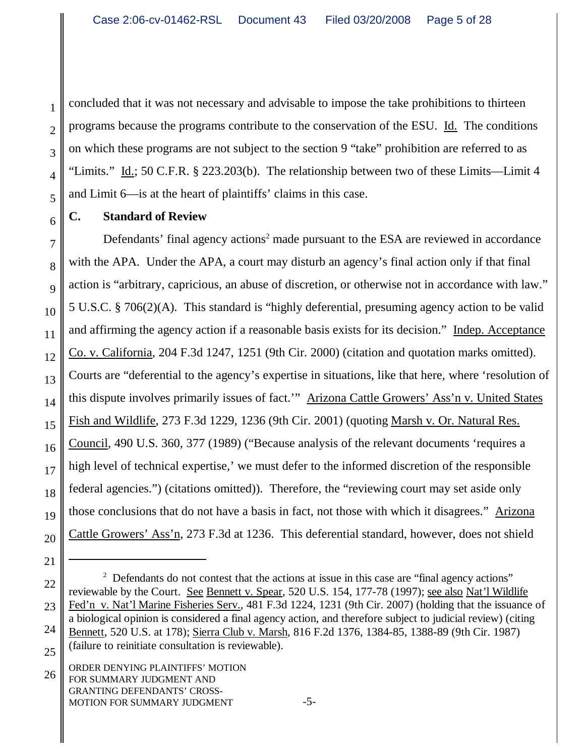concluded that it was not necessary and advisable to impose the take prohibitions to thirteen programs because the programs contribute to the conservation of the ESU. Id. The conditions on which these programs are not subject to the section 9 "take" prohibition are referred to as "Limits." Id.; 50 C.F.R. § 223.203(b). The relationship between two of these Limits—Limit 4 and Limit 6—is at the heart of plaintiffs' claims in this case.

## **C. Standard of Review**

1

2

3

4

5

6

7

8

9

10

11

12

13

14

15

16

17

18

19

20

21

22

23

24

25

Defendants' final agency actions<sup>2</sup> made pursuant to the ESA are reviewed in accordance with the APA. Under the APA, a court may disturb an agency's final action only if that final action is "arbitrary, capricious, an abuse of discretion, or otherwise not in accordance with law." 5 U.S.C. § 706(2)(A). This standard is "highly deferential, presuming agency action to be valid and affirming the agency action if a reasonable basis exists for its decision." Indep. Acceptance Co. v. California, 204 F.3d 1247, 1251 (9th Cir. 2000) (citation and quotation marks omitted). Courts are "deferential to the agency's expertise in situations, like that here, where 'resolution of this dispute involves primarily issues of fact.'" Arizona Cattle Growers' Ass'n v. United States Fish and Wildlife, 273 F.3d 1229, 1236 (9th Cir. 2001) (quoting Marsh v. Or. Natural Res. Council, 490 U.S. 360, 377 (1989) ("Because analysis of the relevant documents 'requires a high level of technical expertise,' we must defer to the informed discretion of the responsible federal agencies.") (citations omitted)). Therefore, the "reviewing court may set aside only those conclusions that do not have a basis in fact, not those with which it disagrees." Arizona Cattle Growers' Ass'n, 273 F.3d at 1236. This deferential standard, however, does not shield

 $2$  Defendants do not contest that the actions at issue in this case are "final agency actions" reviewable by the Court. See Bennett v. Spear, 520 U.S. 154, 177-78 (1997); see also Nat'l Wildlife Fed'n v. Nat'l Marine Fisheries Serv., 481 F.3d 1224, 1231 (9th Cir. 2007) (holding that the issuance of a biological opinion is considered a final agency action, and therefore subject to judicial review) (citing Bennett, 520 U.S. at 178); Sierra Club v. Marsh, 816 F.2d 1376, 1384-85, 1388-89 (9th Cir. 1987) (failure to reinitiate consultation is reviewable).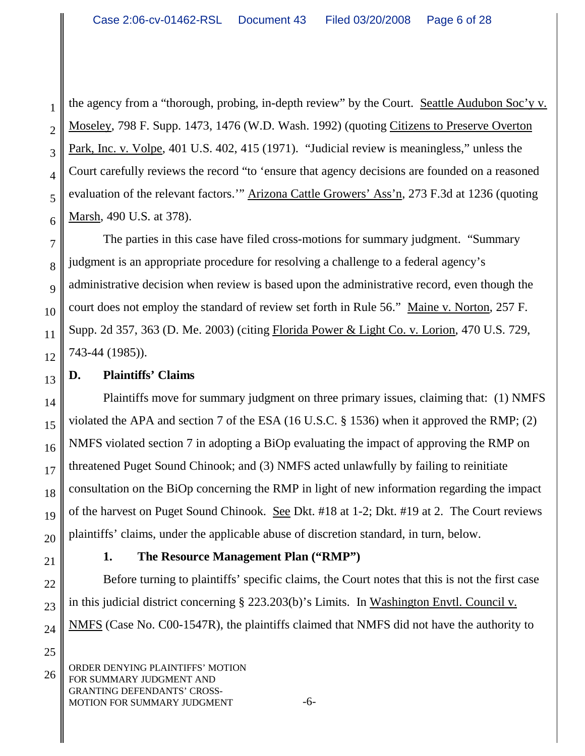the agency from a "thorough, probing, in-depth review" by the Court. Seattle Audubon Soc'y v. Moseley, 798 F. Supp. 1473, 1476 (W.D. Wash. 1992) (quoting Citizens to Preserve Overton Park, Inc. v. Volpe, 401 U.S. 402, 415 (1971). "Judicial review is meaningless," unless the Court carefully reviews the record "to 'ensure that agency decisions are founded on a reasoned evaluation of the relevant factors.'" Arizona Cattle Growers' Ass'n, 273 F.3d at 1236 (quoting Marsh, 490 U.S. at 378).

The parties in this case have filed cross-motions for summary judgment. "Summary judgment is an appropriate procedure for resolving a challenge to a federal agency's administrative decision when review is based upon the administrative record, even though the court does not employ the standard of review set forth in Rule 56." Maine v. Norton, 257 F. Supp. 2d 357, 363 (D. Me. 2003) (citing Florida Power & Light Co. v. Lorion, 470 U.S. 729, 743-44 (1985)).

### **D. Plaintiffs' Claims**

Plaintiffs move for summary judgment on three primary issues, claiming that: (1) NMFS violated the APA and section 7 of the ESA (16 U.S.C. § 1536) when it approved the RMP; (2) NMFS violated section 7 in adopting a BiOp evaluating the impact of approving the RMP on threatened Puget Sound Chinook; and (3) NMFS acted unlawfully by failing to reinitiate consultation on the BiOp concerning the RMP in light of new information regarding the impact of the harvest on Puget Sound Chinook. See Dkt. #18 at 1-2; Dkt. #19 at 2. The Court reviews plaintiffs' claims, under the applicable abuse of discretion standard, in turn, below.

1

2

3

4

5

6

7

8

9

10

11

12

13

14

15

16

17

18

19

20

21

22

23

24

25

### **1. The Resource Management Plan ("RMP")**

Before turning to plaintiffs' specific claims, the Court notes that this is not the first case in this judicial district concerning § 223.203(b)'s Limits. In Washington Envtl. Council v. NMFS (Case No. C00-1547R), the plaintiffs claimed that NMFS did not have the authority to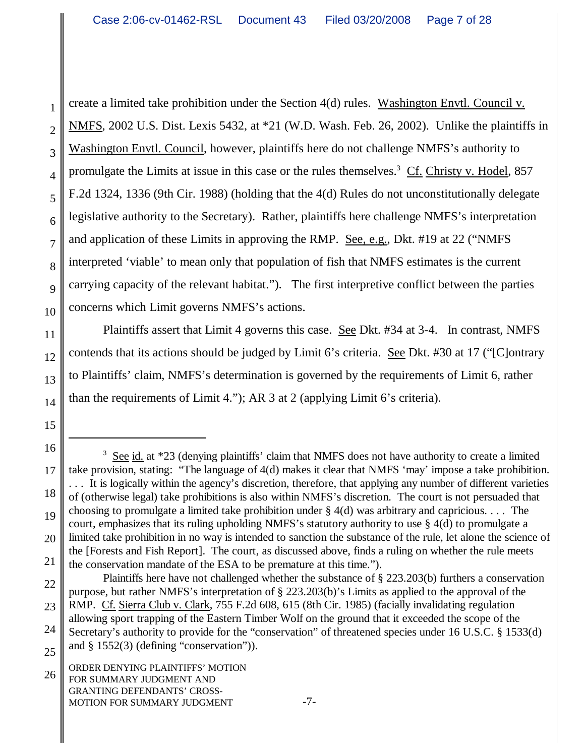create a limited take prohibition under the Section 4(d) rules. Washington Envtl. Council v. NMFS, 2002 U.S. Dist. Lexis 5432, at \*21 (W.D. Wash. Feb. 26, 2002). Unlike the plaintiffs in Washington Envtl. Council, however, plaintiffs here do not challenge NMFS's authority to promulgate the Limits at issue in this case or the rules themselves.<sup>3</sup> Cf. Christy v. Hodel, 857 F.2d 1324, 1336 (9th Cir. 1988) (holding that the 4(d) Rules do not unconstitutionally delegate legislative authority to the Secretary). Rather, plaintiffs here challenge NMFS's interpretation and application of these Limits in approving the RMP. See, e.g., Dkt. #19 at 22 ("NMFS interpreted 'viable' to mean only that population of fish that NMFS estimates is the current carrying capacity of the relevant habitat."). The first interpretive conflict between the parties concerns which Limit governs NMFS's actions.

Plaintiffs assert that Limit 4 governs this case. See Dkt. #34 at 3-4. In contrast, NMFS contends that its actions should be judged by Limit 6's criteria. See Dkt. #30 at 17 ("[C]ontrary to Plaintiffs' claim, NMFS's determination is governed by the requirements of Limit 6, rather than the requirements of Limit 4."); AR 3 at 2 (applying Limit 6's criteria).

1

2

3

4

5

6

7

8

9

10

11

12

13

14

15

16

17

18

19

20

<sup>&</sup>lt;sup>3</sup> See id. at \*23 (denying plaintiffs' claim that NMFS does not have authority to create a limited take provision, stating: "The language of 4(d) makes it clear that NMFS 'may' impose a take prohibition. ... It is logically within the agency's discretion, therefore, that applying any number of different varieties of (otherwise legal) take prohibitions is also within NMFS's discretion. The court is not persuaded that choosing to promulgate a limited take prohibition under  $\S$  4(d) was arbitrary and capricious. . . . The court, emphasizes that its ruling upholding NMFS's statutory authority to use § 4(d) to promulgate a limited take prohibition in no way is intended to sanction the substance of the rule, let alone the science of the [Forests and Fish Report]. The court, as discussed above, finds a ruling on whether the rule meets the conservation mandate of the ESA to be premature at this time."). Plaintiffs here have not challenged whether the substance of § 223.203(b) furthers a conservation

<sup>22</sup> 23 24 25 purpose, but rather NMFS's interpretation of § 223.203(b)'s Limits as applied to the approval of the RMP. Cf. Sierra Club v. Clark, 755 F.2d 608, 615 (8th Cir. 1985) (facially invalidating regulation allowing sport trapping of the Eastern Timber Wolf on the ground that it exceeded the scope of the Secretary's authority to provide for the "conservation" of threatened species under 16 U.S.C. § 1533(d) and § 1552(3) (defining "conservation")).

<sup>26</sup> ORDER DENYING PLAINTIFFS' MOTION FOR SUMMARY JUDGMENT AND GRANTING DEFENDANTS' CROSS-MOTION FOR SUMMARY JUDGMENT -7-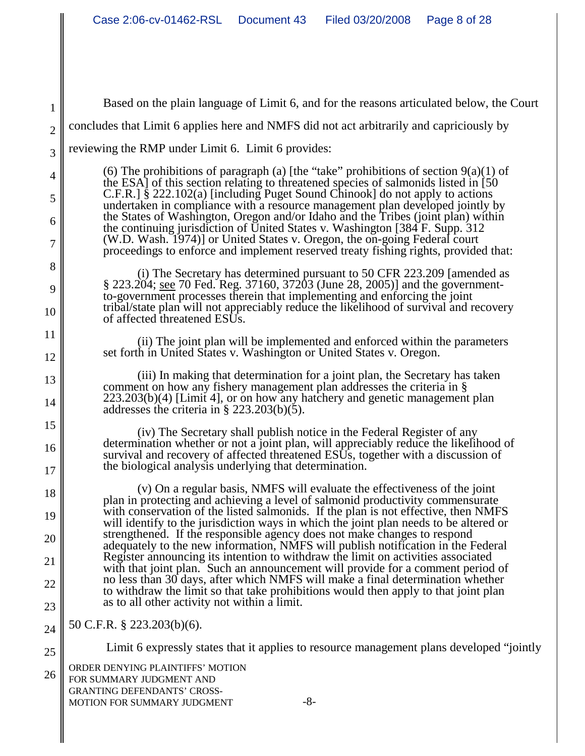1 2 3 4 5 6 7 8 9 10 11 12 13 14 15 16 17 18 19 20 21 22 23 24 25 26 ORDER DENYING PLAINTIFFS' MOTION FOR SUMMARY JUDGMENT AND GRANTING DEFENDANTS' CROSS-MOTION FOR SUMMARY JUDGMENT -8-Based on the plain language of Limit 6, and for the reasons articulated below, the Court concludes that Limit 6 applies here and NMFS did not act arbitrarily and capriciously by reviewing the RMP under Limit 6. Limit 6 provides: (6) The prohibitions of paragraph (a) [the "take" prohibitions of section  $9(a)(1)$  of the ESA] of this section relating to threatened species of salmonids listed in [50 C.F.R.] § 222.102(a) [including Puget Sound Chinook] do not apply to actions undertaken in compliance with a resource management plan developed jointly by the States of Washington, Oregon and/or Idaho and the Tribes (joint plan) within the continuing jurisdiction of United States v. Washington [384 F. Supp. 312 (W.D. Wash. 1974)] or United States v. Oregon, the on-going Federal court proceedings to enforce and implement reserved treaty fishing rights, provided that: (i) The Secretary has determined pursuant to 50 CFR 223.209 [amended as § 223.204; see 70 Fed. Reg. 37160, 37203 (June 28, 2005)] and the governmentto-government processes therein that implementing and enforcing the joint tribal/state plan will not appreciably reduce the likelihood of survival and recovery of affected threatened ESUs. (ii) The joint plan will be implemented and enforced within the parameters set forth in United States v. Washington or United States v. Oregon. (iii) In making that determination for a joint plan, the Secretary has taken comment on how any fishery management plan addresses the criteria in § 223.203(b)(4) [Limit 4], or on how any hatchery and genetic management plan addresses the criteria in  $\S$  223.203(b)(5). (iv) The Secretary shall publish notice in the Federal Register of any determination whether or not a joint plan, will appreciably reduce the likelihood of survival and recovery of affected threatened ESUs, together with a discussion of the biological analysis underlying that determination. (v) On a regular basis, NMFS will evaluate the effectiveness of the joint plan in protecting and achieving a level of salmonid productivity commensurate with conservation of the listed salmonids. If the plan is not effective, then NMFS will identify to the jurisdiction ways in which the joint plan needs to be altered or strengthened. If the responsible agency does not make changes to respond adequately to the new information, NMFS will publish notification in the Federal Register announcing its intention to withdraw the limit on activities associated with that joint plan. Such an announcement will provide for a comment period of no less than 30 days, after which NMFS will make a final determination whether to withdraw the limit so that take prohibitions would then apply to that joint plan as to all other activity not within a limit. 50 C.F.R. § 223.203(b)(6). Limit 6 expressly states that it applies to resource management plans developed "jointly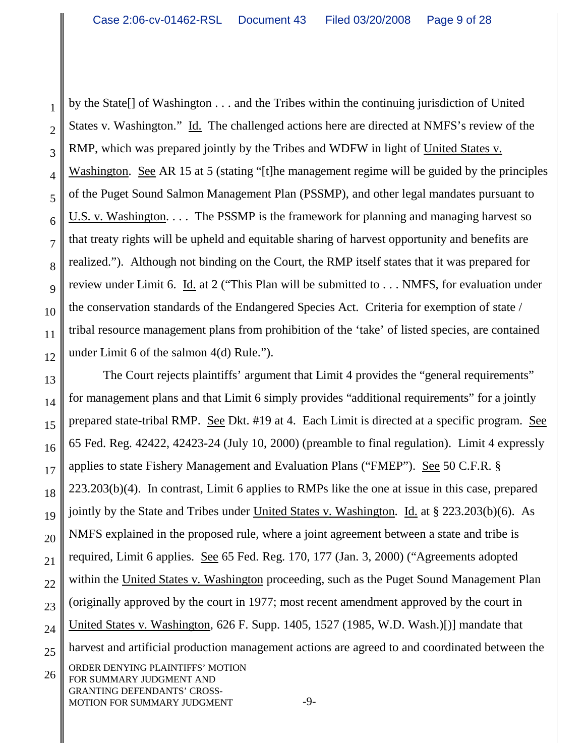by the State[] of Washington . . . and the Tribes within the continuing jurisdiction of United States v. Washington." Id. The challenged actions here are directed at NMFS's review of the RMP, which was prepared jointly by the Tribes and WDFW in light of United States v. Washington. See AR 15 at 5 (stating "[t]he management regime will be guided by the principles of the Puget Sound Salmon Management Plan (PSSMP), and other legal mandates pursuant to U.S. v. Washington. . . . The PSSMP is the framework for planning and managing harvest so that treaty rights will be upheld and equitable sharing of harvest opportunity and benefits are realized."). Although not binding on the Court, the RMP itself states that it was prepared for review under Limit 6. Id. at 2 ("This Plan will be submitted to . . . NMFS, for evaluation under the conservation standards of the Endangered Species Act. Criteria for exemption of state / tribal resource management plans from prohibition of the 'take' of listed species, are contained under Limit 6 of the salmon 4(d) Rule.").

26 ORDER DENYING PLAINTIFFS' MOTION FOR SUMMARY JUDGMENT AND The Court rejects plaintiffs' argument that Limit 4 provides the "general requirements" for management plans and that Limit 6 simply provides "additional requirements" for a jointly prepared state-tribal RMP. See Dkt. #19 at 4. Each Limit is directed at a specific program. See 65 Fed. Reg. 42422, 42423-24 (July 10, 2000) (preamble to final regulation). Limit 4 expressly applies to state Fishery Management and Evaluation Plans ("FMEP"). See 50 C.F.R. § 223.203(b)(4). In contrast, Limit 6 applies to RMPs like the one at issue in this case, prepared jointly by the State and Tribes under United States v. Washington. Id. at § 223.203(b)(6). As NMFS explained in the proposed rule, where a joint agreement between a state and tribe is required, Limit 6 applies. See 65 Fed. Reg. 170, 177 (Jan. 3, 2000) ("Agreements adopted within the United States v. Washington proceeding, such as the Puget Sound Management Plan (originally approved by the court in 1977; most recent amendment approved by the court in United States v. Washington, 626 F. Supp. 1405, 1527 (1985, W.D. Wash.)[)] mandate that harvest and artificial production management actions are agreed to and coordinated between the

GRANTING DEFENDANTS' CROSS-MOTION FOR SUMMARY JUDGMENT -9-

1

2

3

4

5

6

7

8

9

10

11

12

13

14

15

16

17

18

19

20

21

22

23

24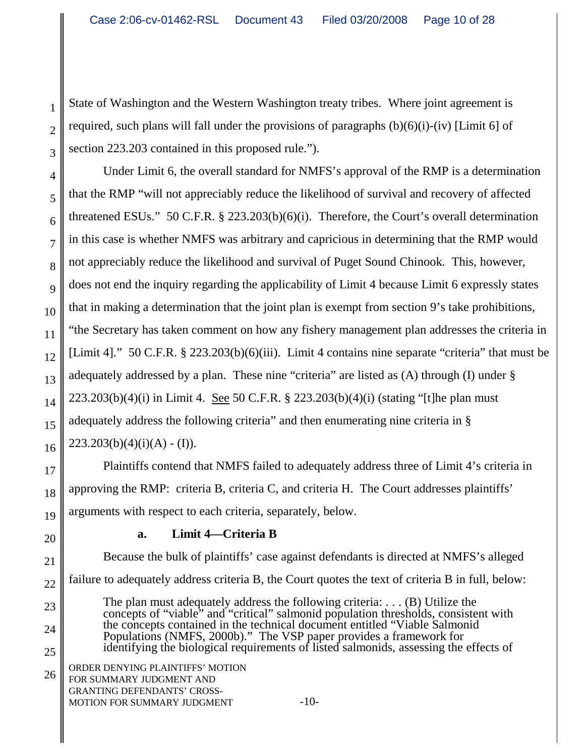State of Washington and the Western Washington treaty tribes. Where joint agreement is required, such plans will fall under the provisions of paragraphs  $(b)(6)(i)$ -(iv) [Limit 6] of section 223.203 contained in this proposed rule.").

Under Limit 6, the overall standard for NMFS's approval of the RMP is a determination that the RMP "will not appreciably reduce the likelihood of survival and recovery of affected threatened ESUs." 50 C.F.R. § 223.203(b)(6)(i). Therefore, the Court's overall determination in this case is whether NMFS was arbitrary and capricious in determining that the RMP would not appreciably reduce the likelihood and survival of Puget Sound Chinook. This, however, does not end the inquiry regarding the applicability of Limit 4 because Limit 6 expressly states that in making a determination that the joint plan is exempt from section 9's take prohibitions, "the Secretary has taken comment on how any fishery management plan addresses the criteria in [Limit 4]." 50 C.F.R. § 223.203(b)(6)(iii). Limit 4 contains nine separate "criteria" that must be adequately addressed by a plan. These nine "criteria" are listed as (A) through (I) under § 223.203(b)(4)(i) in Limit 4. See 50 C.F.R. § 223.203(b)(4)(i) (stating "[t]he plan must adequately address the following criteria" and then enumerating nine criteria in §  $223.203(b)(4)(i)(A) - (I)).$ 

Plaintiffs contend that NMFS failed to adequately address three of Limit 4's criteria in approving the RMP: criteria B, criteria C, and criteria H. The Court addresses plaintiffs' arguments with respect to each criteria, separately, below.

20

1

2

3

4

5

6

7

8

9

10

11

12

13

14

15

16

17

18

19

21

22

23

24

25

## **a. Limit 4—Criteria B**

Because the bulk of plaintiffs' case against defendants is directed at NMFS's alleged failure to adequately address criteria B, the Court quotes the text of criteria B in full, below:

The plan must adequately address the following criteria: . . . (B) Utilize the concepts of "viable" and "critical" salmonid population thresholds, consistent with the concepts contained in the technical document entitled "Viable Salmonid Populations (NMFS, 2000b)." The VSP paper provides a framework for identifying the biological requirements of listed salmonids, assessing the effects of

26 ORDER DENYING PLAINTIFFS' MOTION FOR SUMMARY JUDGMENT AND GRANTING DEFENDANTS' CROSS-MOTION FOR SUMMARY JUDGMENT -10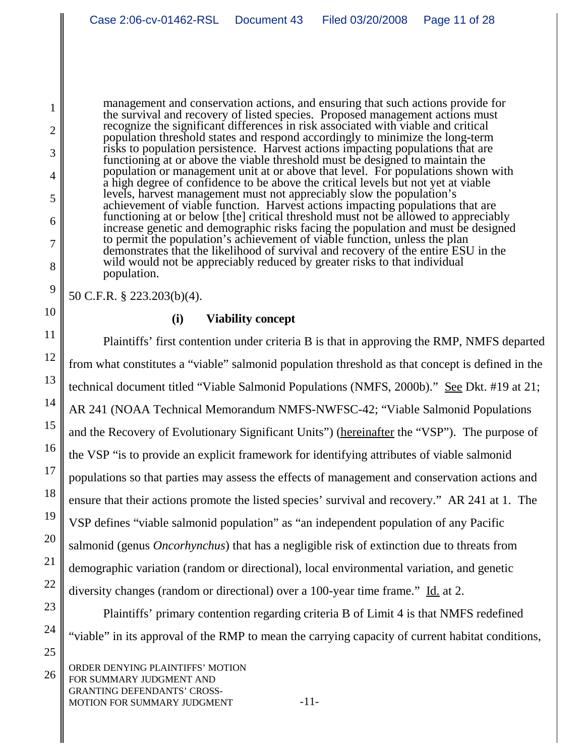management and conservation actions, and ensuring that such actions provide for the survival and recovery of listed species. Proposed management actions must recognize the significant differences in risk associated with viable and critical population threshold states and respond accordingly to minimize the long-term risks to population persistence. Harvest actions impacting populations that are functioning at or above the viable threshold must be designed to maintain the population or management unit at or above that level. For populations shown with a high degree of confidence to be above the critical levels but not yet at viable levels, harvest management must not appreciably slow the population's achievement of viable function. Harvest actions impacting populations that are functioning at or below [the] critical threshold must not be allowed to appreciably increase genetic and demographic risks facing the population and must be designed to permit the population's achievement of viable function, unless the plan demonstrates that the likelihood of survival and recovery of the entire ESU in the wild would not be appreciably reduced by greater risks to that individual population.

50 C.F.R. § 223.203(b)(4).

1

2

3

4

5

6

7

8

9

10

11

12

13

14

15

16

17

18

19

20

21

22

23

24

25

### **(i) Viability concept**

Plaintiffs' first contention under criteria B is that in approving the RMP, NMFS departed from what constitutes a "viable" salmonid population threshold as that concept is defined in the technical document titled "Viable Salmonid Populations (NMFS, 2000b)." See Dkt. #19 at 21; AR 241 (NOAA Technical Memorandum NMFS-NWFSC-42; "Viable Salmonid Populations and the Recovery of Evolutionary Significant Units") (hereinafter the "VSP"). The purpose of the VSP "is to provide an explicit framework for identifying attributes of viable salmonid populations so that parties may assess the effects of management and conservation actions and ensure that their actions promote the listed species' survival and recovery." AR 241 at 1. The VSP defines "viable salmonid population" as "an independent population of any Pacific salmonid (genus *Oncorhynchus*) that has a negligible risk of extinction due to threats from demographic variation (random or directional), local environmental variation, and genetic diversity changes (random or directional) over a 100-year time frame." Id. at 2.

Plaintiffs' primary contention regarding criteria B of Limit 4 is that NMFS redefined "viable" in its approval of the RMP to mean the carrying capacity of current habitat conditions,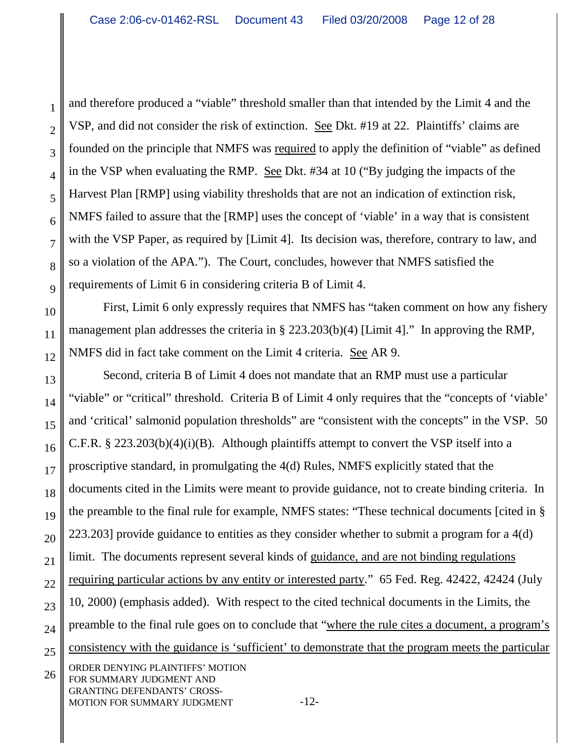and therefore produced a "viable" threshold smaller than that intended by the Limit 4 and the VSP, and did not consider the risk of extinction. See Dkt. #19 at 22. Plaintiffs' claims are founded on the principle that NMFS was required to apply the definition of "viable" as defined in the VSP when evaluating the RMP. See Dkt. #34 at 10 ("By judging the impacts of the Harvest Plan [RMP] using viability thresholds that are not an indication of extinction risk, NMFS failed to assure that the [RMP] uses the concept of 'viable' in a way that is consistent with the VSP Paper, as required by [Limit 4]. Its decision was, therefore, contrary to law, and so a violation of the APA."). The Court, concludes, however that NMFS satisfied the requirements of Limit 6 in considering criteria B of Limit 4.

First, Limit 6 only expressly requires that NMFS has "taken comment on how any fishery management plan addresses the criteria in § 223.203(b)(4) [Limit 4]." In approving the RMP, NMFS did in fact take comment on the Limit 4 criteria. See AR 9.

26 ORDER DENYING PLAINTIFFS' MOTION FOR SUMMARY JUDGMENT AND Second, criteria B of Limit 4 does not mandate that an RMP must use a particular "viable" or "critical" threshold. Criteria B of Limit 4 only requires that the "concepts of 'viable' and 'critical' salmonid population thresholds" are "consistent with the concepts" in the VSP. 50 C.F.R. § 223.203(b)(4)(i)(B). Although plaintiffs attempt to convert the VSP itself into a proscriptive standard, in promulgating the 4(d) Rules, NMFS explicitly stated that the documents cited in the Limits were meant to provide guidance, not to create binding criteria. In the preamble to the final rule for example, NMFS states: "These technical documents [cited in § 223.203] provide guidance to entities as they consider whether to submit a program for a 4(d) limit. The documents represent several kinds of guidance, and are not binding regulations requiring particular actions by any entity or interested party." 65 Fed. Reg. 42422, 42424 (July 10, 2000) (emphasis added). With respect to the cited technical documents in the Limits, the preamble to the final rule goes on to conclude that "where the rule cites a document, a program's consistency with the guidance is 'sufficient' to demonstrate that the program meets the particular

GRANTING DEFENDANTS' CROSS-MOTION FOR SUMMARY JUDGMENT -12-

1

2

3

4

5

6

7

8

9

10

11

12

13

14

15

16

17

18

19

20

21

22

23

24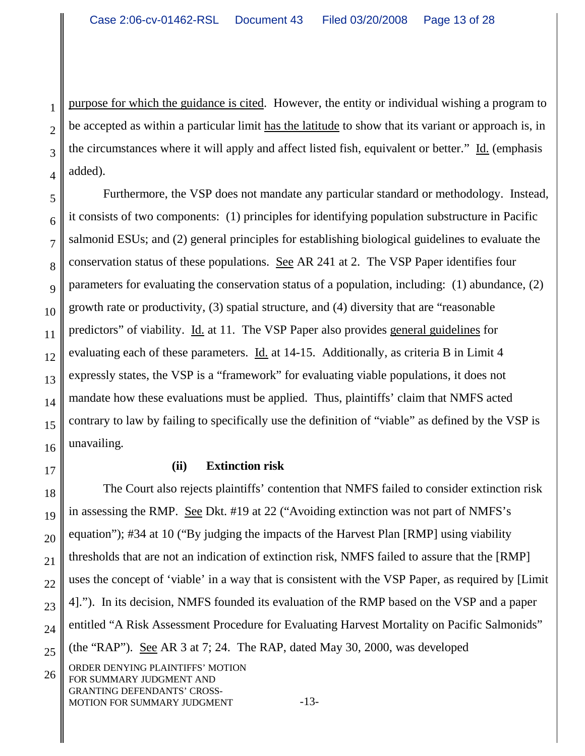purpose for which the guidance is cited. However, the entity or individual wishing a program to be accepted as within a particular limit has the latitude to show that its variant or approach is, in the circumstances where it will apply and affect listed fish, equivalent or better." Id. (emphasis added).

Furthermore, the VSP does not mandate any particular standard or methodology. Instead, it consists of two components: (1) principles for identifying population substructure in Pacific salmonid ESUs; and (2) general principles for establishing biological guidelines to evaluate the conservation status of these populations. See AR 241 at 2. The VSP Paper identifies four parameters for evaluating the conservation status of a population, including: (1) abundance, (2) growth rate or productivity, (3) spatial structure, and (4) diversity that are "reasonable predictors" of viability. Id. at 11. The VSP Paper also provides general guidelines for evaluating each of these parameters. Id. at 14-15. Additionally, as criteria B in Limit 4 expressly states, the VSP is a "framework" for evaluating viable populations, it does not mandate how these evaluations must be applied. Thus, plaintiffs' claim that NMFS acted contrary to law by failing to specifically use the definition of "viable" as defined by the VSP is unavailing.

#### **(ii) Extinction risk**

The Court also rejects plaintiffs' contention that NMFS failed to consider extinction risk in assessing the RMP. See Dkt. #19 at 22 ("Avoiding extinction was not part of NMFS's equation"); #34 at 10 ("By judging the impacts of the Harvest Plan [RMP] using viability thresholds that are not an indication of extinction risk, NMFS failed to assure that the [RMP] uses the concept of 'viable' in a way that is consistent with the VSP Paper, as required by [Limit 4]."). In its decision, NMFS founded its evaluation of the RMP based on the VSP and a paper entitled "A Risk Assessment Procedure for Evaluating Harvest Mortality on Pacific Salmonids" (the "RAP"). See AR 3 at 7; 24. The RAP, dated May 30, 2000, was developed

26 ORDER DENYING PLAINTIFFS' MOTION FOR SUMMARY JUDGMENT AND GRANTING DEFENDANTS' CROSS-MOTION FOR SUMMARY JUDGMENT -13-

1

2

3

4

5

6

7

8

9

10

11

12

13

14

15

16

17

18

19

20

21

22

23

24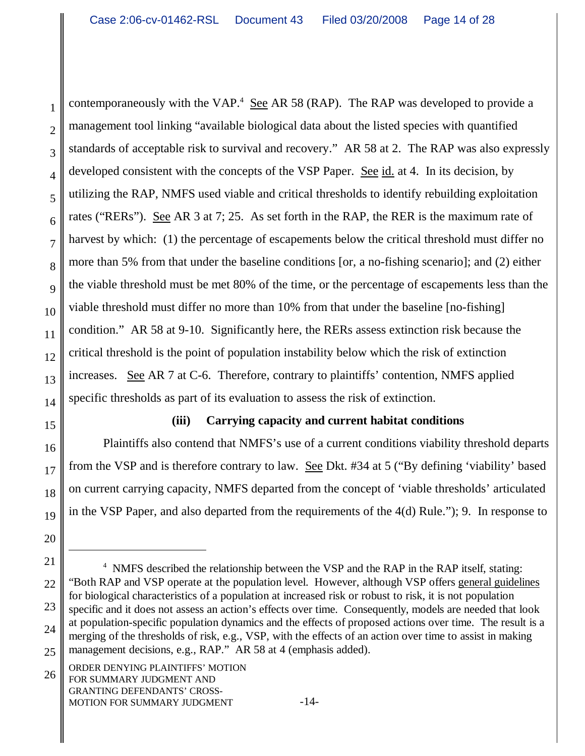contemporaneously with the VAP. $4$  See AR 58 (RAP). The RAP was developed to provide a management tool linking "available biological data about the listed species with quantified standards of acceptable risk to survival and recovery." AR 58 at 2. The RAP was also expressly developed consistent with the concepts of the VSP Paper. See id. at 4. In its decision, by utilizing the RAP, NMFS used viable and critical thresholds to identify rebuilding exploitation rates ("RERs"). See AR 3 at 7; 25. As set forth in the RAP, the RER is the maximum rate of harvest by which: (1) the percentage of escapements below the critical threshold must differ no more than 5% from that under the baseline conditions [or, a no-fishing scenario]; and (2) either the viable threshold must be met 80% of the time, or the percentage of escapements less than the viable threshold must differ no more than 10% from that under the baseline [no-fishing] condition." AR 58 at 9-10. Significantly here, the RERs assess extinction risk because the critical threshold is the point of population instability below which the risk of extinction increases. See AR 7 at C-6. Therefore, contrary to plaintiffs' contention, NMFS applied specific thresholds as part of its evaluation to assess the risk of extinction.

## 15

16

17

18

19

20

1

2

3

4

5

6

7

8

9

10

11

12

13

14

### **(iii) Carrying capacity and current habitat conditions**

Plaintiffs also contend that NMFS's use of a current conditions viability threshold departs from the VSP and is therefore contrary to law. See Dkt. #34 at 5 ("By defining 'viability' based on current carrying capacity, NMFS departed from the concept of 'viable thresholds' articulated in the VSP Paper, and also departed from the requirements of the 4(d) Rule."); 9. In response to

<sup>21</sup> 22 23 24 25 <sup>4</sup> NMFS described the relationship between the VSP and the RAP in the RAP itself, stating: "Both RAP and VSP operate at the population level. However, although VSP offers general guidelines for biological characteristics of a population at increased risk or robust to risk, it is not population specific and it does not assess an action's effects over time. Consequently, models are needed that look at population-specific population dynamics and the effects of proposed actions over time. The result is a merging of the thresholds of risk, e.g., VSP, with the effects of an action over time to assist in making management decisions, e.g., RAP." AR 58 at 4 (emphasis added).

<sup>26</sup> ORDER DENYING PLAINTIFFS' MOTION FOR SUMMARY JUDGMENT AND GRANTING DEFENDANTS' CROSS-MOTION FOR SUMMARY JUDGMENT -14-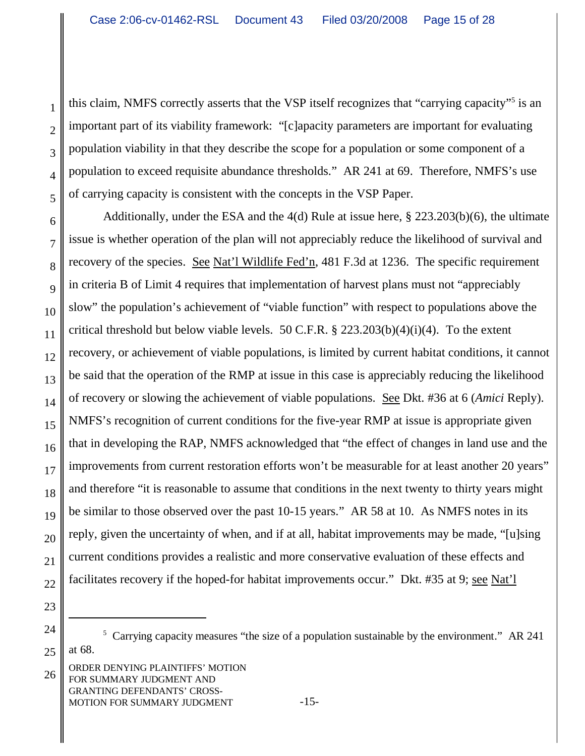this claim, NMFS correctly asserts that the VSP itself recognizes that "carrying capacity"<sup>5</sup> is an important part of its viability framework: "[c]apacity parameters are important for evaluating population viability in that they describe the scope for a population or some component of a population to exceed requisite abundance thresholds." AR 241 at 69. Therefore, NMFS's use of carrying capacity is consistent with the concepts in the VSP Paper.

Additionally, under the ESA and the 4(d) Rule at issue here, § 223.203(b)(6), the ultimate issue is whether operation of the plan will not appreciably reduce the likelihood of survival and recovery of the species. See Nat'l Wildlife Fed'n, 481 F.3d at 1236. The specific requirement in criteria B of Limit 4 requires that implementation of harvest plans must not "appreciably slow" the population's achievement of "viable function" with respect to populations above the critical threshold but below viable levels. 50 C.F.R.  $\S$  223.203(b)(4)(i)(4). To the extent recovery, or achievement of viable populations, is limited by current habitat conditions, it cannot be said that the operation of the RMP at issue in this case is appreciably reducing the likelihood of recovery or slowing the achievement of viable populations. See Dkt. #36 at 6 (*Amici* Reply). NMFS's recognition of current conditions for the five-year RMP at issue is appropriate given that in developing the RAP, NMFS acknowledged that "the effect of changes in land use and the improvements from current restoration efforts won't be measurable for at least another 20 years" and therefore "it is reasonable to assume that conditions in the next twenty to thirty years might be similar to those observed over the past 10-15 years." AR 58 at 10. As NMFS notes in its reply, given the uncertainty of when, and if at all, habitat improvements may be made, "[u]sing current conditions provides a realistic and more conservative evaluation of these effects and facilitates recovery if the hoped-for habitat improvements occur." Dkt. #35 at 9; <u>see Nat'l</u>

23 24

25

1

2

3

4

5

6

7

8

9

10

11

12

13

14

15

16

17

18

19

20

21

<sup>&</sup>lt;sup>5</sup> Carrying capacity measures "the size of a population sustainable by the environment." AR 241 at 68.

<sup>26</sup> ORDER DENYING PLAINTIFFS' MOTION FOR SUMMARY JUDGMENT AND GRANTING DEFENDANTS' CROSS-MOTION FOR SUMMARY JUDGMENT -15-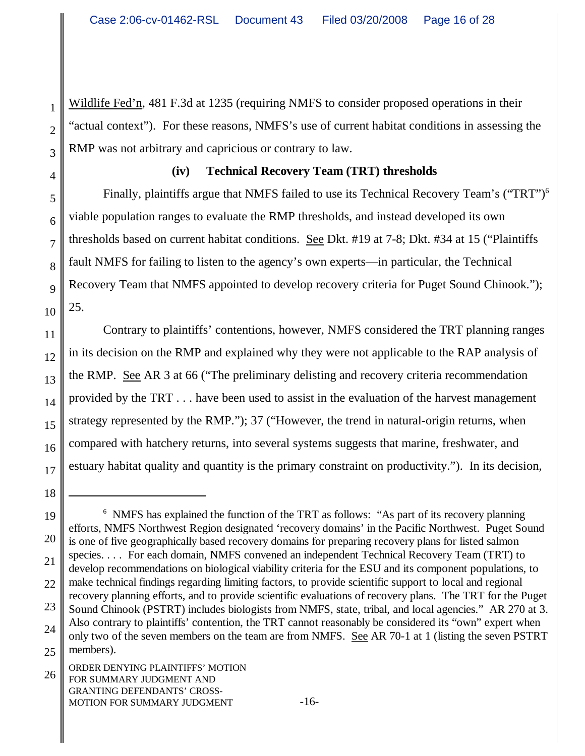Wildlife Fed'n, 481 F.3d at 1235 (requiring NMFS to consider proposed operations in their "actual context"). For these reasons, NMFS's use of current habitat conditions in assessing the RMP was not arbitrary and capricious or contrary to law.

**(iv) Technical Recovery Team (TRT) thresholds**

Finally, plaintiffs argue that NMFS failed to use its Technical Recovery Team's ("TRT")<sup>6</sup> viable population ranges to evaluate the RMP thresholds, and instead developed its own thresholds based on current habitat conditions. See Dkt. #19 at 7-8; Dkt. #34 at 15 ("Plaintiffs fault NMFS for failing to listen to the agency's own experts—in particular, the Technical Recovery Team that NMFS appointed to develop recovery criteria for Puget Sound Chinook."); 25.

Contrary to plaintiffs' contentions, however, NMFS considered the TRT planning ranges in its decision on the RMP and explained why they were not applicable to the RAP analysis of the RMP. See AR 3 at 66 ("The preliminary delisting and recovery criteria recommendation provided by the TRT . . . have been used to assist in the evaluation of the harvest management strategy represented by the RMP."); 37 ("However, the trend in natural-origin returns, when compared with hatchery returns, into several systems suggests that marine, freshwater, and estuary habitat quality and quantity is the primary constraint on productivity."). In its decision,

1

2

3

4

5

6

7

8

9

10

11

12

13

14

15

16

17

<sup>19</sup> 20 21 22 23 24 25 <sup>6</sup> NMFS has explained the function of the TRT as follows: "As part of its recovery planning efforts, NMFS Northwest Region designated 'recovery domains' in the Pacific Northwest. Puget Sound is one of five geographically based recovery domains for preparing recovery plans for listed salmon species. . . . For each domain, NMFS convened an independent Technical Recovery Team (TRT) to develop recommendations on biological viability criteria for the ESU and its component populations, to make technical findings regarding limiting factors, to provide scientific support to local and regional recovery planning efforts, and to provide scientific evaluations of recovery plans. The TRT for the Puget Sound Chinook (PSTRT) includes biologists from NMFS, state, tribal, and local agencies." AR 270 at 3. Also contrary to plaintiffs' contention, the TRT cannot reasonably be considered its "own" expert when only two of the seven members on the team are from NMFS. See AR 70-1 at 1 (listing the seven PSTRT members).

<sup>26</sup> ORDER DENYING PLAINTIFFS' MOTION FOR SUMMARY JUDGMENT AND GRANTING DEFENDANTS' CROSS-MOTION FOR SUMMARY JUDGMENT -16-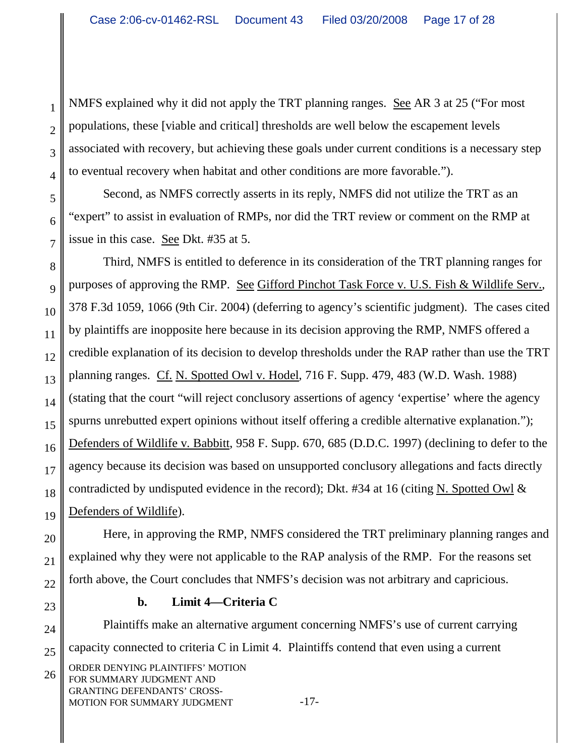NMFS explained why it did not apply the TRT planning ranges. See AR 3 at 25 ("For most populations, these [viable and critical] thresholds are well below the escapement levels associated with recovery, but achieving these goals under current conditions is a necessary step to eventual recovery when habitat and other conditions are more favorable.").

Second, as NMFS correctly asserts in its reply, NMFS did not utilize the TRT as an "expert" to assist in evaluation of RMPs, nor did the TRT review or comment on the RMP at issue in this case. See Dkt. #35 at 5.

Third, NMFS is entitled to deference in its consideration of the TRT planning ranges for purposes of approving the RMP. See Gifford Pinchot Task Force v. U.S. Fish & Wildlife Serv., 378 F.3d 1059, 1066 (9th Cir. 2004) (deferring to agency's scientific judgment). The cases cited by plaintiffs are inopposite here because in its decision approving the RMP, NMFS offered a credible explanation of its decision to develop thresholds under the RAP rather than use the TRT planning ranges. Cf. N. Spotted Owl v. Hodel, 716 F. Supp. 479, 483 (W.D. Wash. 1988) (stating that the court "will reject conclusory assertions of agency 'expertise' where the agency spurns unrebutted expert opinions without itself offering a credible alternative explanation."); Defenders of Wildlife v. Babbitt, 958 F. Supp. 670, 685 (D.D.C. 1997) (declining to defer to the agency because its decision was based on unsupported conclusory allegations and facts directly contradicted by undisputed evidence in the record); Dkt. #34 at 16 (citing N. Spotted Owl & Defenders of Wildlife).

Here, in approving the RMP, NMFS considered the TRT preliminary planning ranges and explained why they were not applicable to the RAP analysis of the RMP. For the reasons set forth above, the Court concludes that NMFS's decision was not arbitrary and capricious.

#### **b. Limit 4—Criteria C**

26 ORDER DENYING PLAINTIFFS' MOTION FOR SUMMARY JUDGMENT AND Plaintiffs make an alternative argument concerning NMFS's use of current carrying capacity connected to criteria C in Limit 4. Plaintiffs contend that even using a current

GRANTING DEFENDANTS' CROSS-MOTION FOR SUMMARY JUDGMENT -17-

1

2

3

4

5

6

7

8

9

10

11

12

13

14

15

16

17

18

19

20

21

22

23

24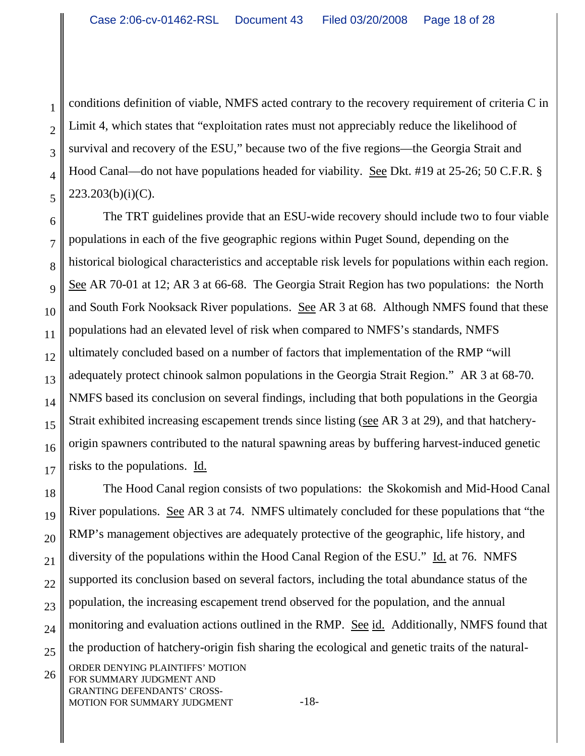conditions definition of viable, NMFS acted contrary to the recovery requirement of criteria C in Limit 4, which states that "exploitation rates must not appreciably reduce the likelihood of survival and recovery of the ESU," because two of the five regions—the Georgia Strait and Hood Canal—do not have populations headed for viability. See Dkt. #19 at 25-26; 50 C.F.R. §  $223.203(b)(i)(C)$ .

The TRT guidelines provide that an ESU-wide recovery should include two to four viable populations in each of the five geographic regions within Puget Sound, depending on the historical biological characteristics and acceptable risk levels for populations within each region. See AR 70-01 at 12; AR 3 at 66-68. The Georgia Strait Region has two populations: the North and South Fork Nooksack River populations. See AR 3 at 68. Although NMFS found that these populations had an elevated level of risk when compared to NMFS's standards, NMFS ultimately concluded based on a number of factors that implementation of the RMP "will adequately protect chinook salmon populations in the Georgia Strait Region." AR 3 at 68-70. NMFS based its conclusion on several findings, including that both populations in the Georgia Strait exhibited increasing escapement trends since listing (see AR 3 at 29), and that hatcheryorigin spawners contributed to the natural spawning areas by buffering harvest-induced genetic risks to the populations. Id.

18 19 20 21 22 23 24 25 26 ORDER DENYING PLAINTIFFS' MOTION FOR SUMMARY JUDGMENT AND The Hood Canal region consists of two populations: the Skokomish and Mid-Hood Canal River populations. See AR 3 at 74. NMFS ultimately concluded for these populations that "the RMP's management objectives are adequately protective of the geographic, life history, and diversity of the populations within the Hood Canal Region of the ESU." Id. at 76. NMFS supported its conclusion based on several factors, including the total abundance status of the population, the increasing escapement trend observed for the population, and the annual monitoring and evaluation actions outlined in the RMP. See id. Additionally, NMFS found that the production of hatchery-origin fish sharing the ecological and genetic traits of the natural-

GRANTING DEFENDANTS' CROSS-MOTION FOR SUMMARY JUDGMENT -18-

1

2

3

4

5

6

7

8

9

10

11

12

13

14

15

16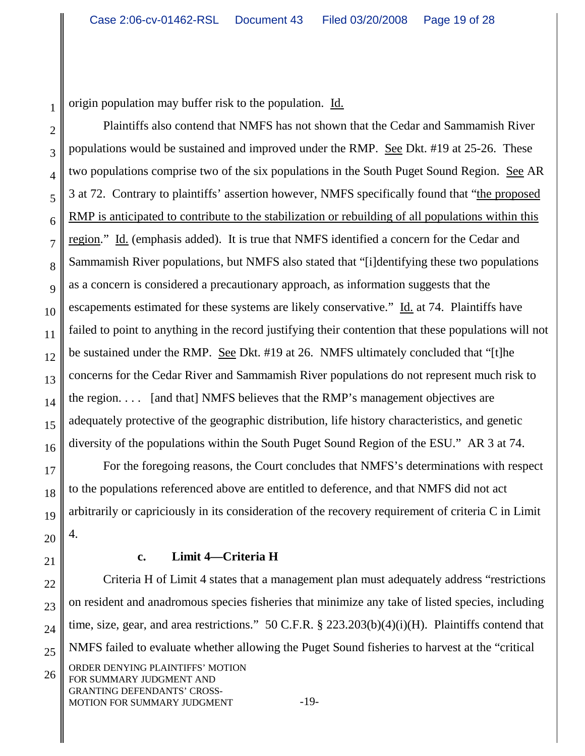origin population may buffer risk to the population. Id.

Plaintiffs also contend that NMFS has not shown that the Cedar and Sammamish River populations would be sustained and improved under the RMP. See Dkt. #19 at 25-26. These two populations comprise two of the six populations in the South Puget Sound Region. See AR 3 at 72. Contrary to plaintiffs' assertion however, NMFS specifically found that "the proposed RMP is anticipated to contribute to the stabilization or rebuilding of all populations within this region." Id. (emphasis added). It is true that NMFS identified a concern for the Cedar and Sammamish River populations, but NMFS also stated that "[i]dentifying these two populations as a concern is considered a precautionary approach, as information suggests that the escapements estimated for these systems are likely conservative." Id. at 74. Plaintiffs have failed to point to anything in the record justifying their contention that these populations will not be sustained under the RMP. See Dkt. #19 at 26. NMFS ultimately concluded that "[t]he concerns for the Cedar River and Sammamish River populations do not represent much risk to the region. . . . [and that] NMFS believes that the RMP's management objectives are adequately protective of the geographic distribution, life history characteristics, and genetic diversity of the populations within the South Puget Sound Region of the ESU." AR 3 at 74.

For the foregoing reasons, the Court concludes that NMFS's determinations with respect to the populations referenced above are entitled to deference, and that NMFS did not act arbitrarily or capriciously in its consideration of the recovery requirement of criteria C in Limit 4.

### **c. Limit 4—Criteria H**

26 ORDER DENYING PLAINTIFFS' MOTION FOR SUMMARY JUDGMENT AND GRANTING DEFENDANTS' CROSS-MOTION FOR SUMMARY JUDGMENT -19-Criteria H of Limit 4 states that a management plan must adequately address "restrictions on resident and anadromous species fisheries that minimize any take of listed species, including time, size, gear, and area restrictions." 50 C.F.R. § 223.203(b)(4)(i)(H). Plaintiffs contend that NMFS failed to evaluate whether allowing the Puget Sound fisheries to harvest at the "critical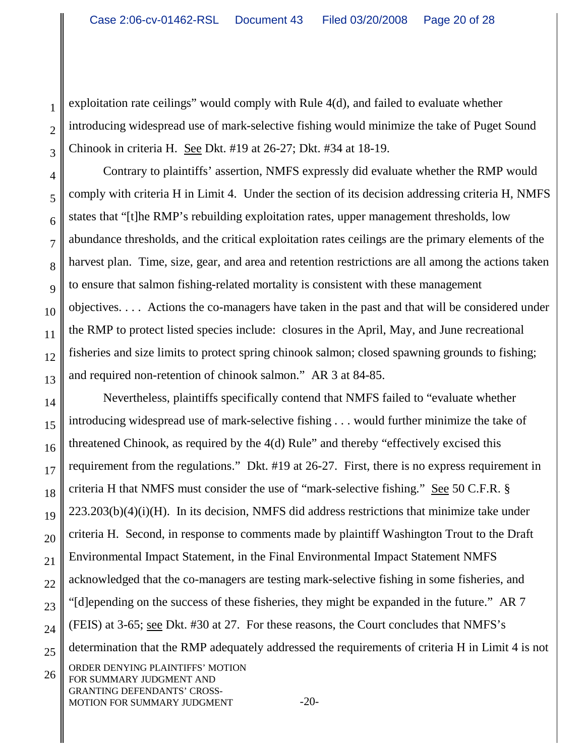exploitation rate ceilings" would comply with Rule 4(d), and failed to evaluate whether introducing widespread use of mark-selective fishing would minimize the take of Puget Sound Chinook in criteria H. See Dkt. #19 at 26-27; Dkt. #34 at 18-19.

Contrary to plaintiffs' assertion, NMFS expressly did evaluate whether the RMP would comply with criteria H in Limit 4. Under the section of its decision addressing criteria H, NMFS states that "[t]he RMP's rebuilding exploitation rates, upper management thresholds, low abundance thresholds, and the critical exploitation rates ceilings are the primary elements of the harvest plan. Time, size, gear, and area and retention restrictions are all among the actions taken to ensure that salmon fishing-related mortality is consistent with these management objectives. . . . Actions the co-managers have taken in the past and that will be considered under the RMP to protect listed species include: closures in the April, May, and June recreational fisheries and size limits to protect spring chinook salmon; closed spawning grounds to fishing; and required non-retention of chinook salmon." AR 3 at 84-85.

26 ORDER DENYING PLAINTIFFS' MOTION FOR SUMMARY JUDGMENT AND GRANTING DEFENDANTS' CROSS-MOTION FOR SUMMARY JUDGMENT -20-Nevertheless, plaintiffs specifically contend that NMFS failed to "evaluate whether introducing widespread use of mark-selective fishing . . . would further minimize the take of threatened Chinook, as required by the 4(d) Rule" and thereby "effectively excised this requirement from the regulations." Dkt. #19 at 26-27. First, there is no express requirement in criteria H that NMFS must consider the use of "mark-selective fishing." See 50 C.F.R. § 223.203(b)(4)(i)(H). In its decision, NMFS did address restrictions that minimize take under criteria H. Second, in response to comments made by plaintiff Washington Trout to the Draft Environmental Impact Statement, in the Final Environmental Impact Statement NMFS acknowledged that the co-managers are testing mark-selective fishing in some fisheries, and "[d]epending on the success of these fisheries, they might be expanded in the future." AR 7 (FEIS) at 3-65; see Dkt. #30 at 27. For these reasons, the Court concludes that NMFS's determination that the RMP adequately addressed the requirements of criteria H in Limit 4 is not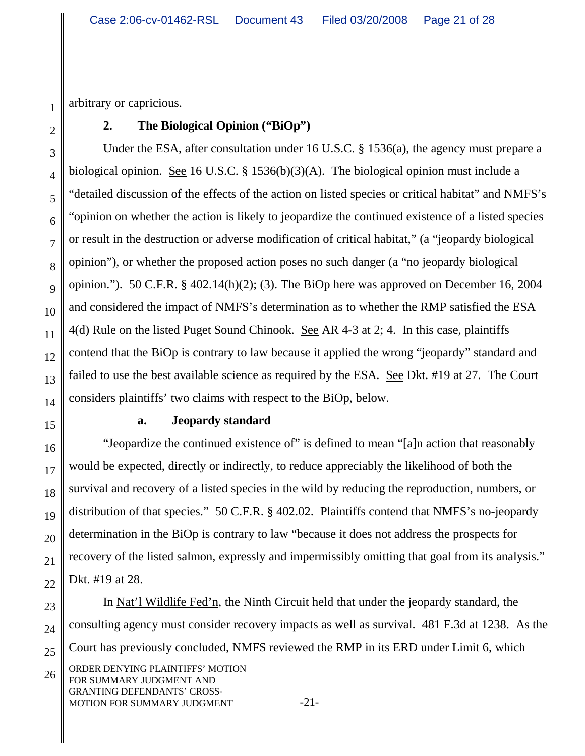arbitrary or capricious.

## **2. The Biological Opinion ("BiOp")**

Under the ESA, after consultation under 16 U.S.C. § 1536(a), the agency must prepare a biological opinion. See 16 U.S.C. § 1536(b)(3)(A). The biological opinion must include a "detailed discussion of the effects of the action on listed species or critical habitat" and NMFS's "opinion on whether the action is likely to jeopardize the continued existence of a listed species or result in the destruction or adverse modification of critical habitat," (a "jeopardy biological opinion"), or whether the proposed action poses no such danger (a "no jeopardy biological opinion."). 50 C.F.R. § 402.14(h)(2); (3). The BiOp here was approved on December 16, 2004 and considered the impact of NMFS's determination as to whether the RMP satisfied the ESA 4(d) Rule on the listed Puget Sound Chinook. See AR 4-3 at 2; 4. In this case, plaintiffs contend that the BiOp is contrary to law because it applied the wrong "jeopardy" standard and failed to use the best available science as required by the ESA. See Dkt. #19 at 27. The Court considers plaintiffs' two claims with respect to the BiOp, below.

15

1

2

3

4

5

6

7

8

9

10

11

12

13

14

16

17

18

19

20

21

22

23

24

25

#### **a. Jeopardy standard**

"Jeopardize the continued existence of" is defined to mean "[a]n action that reasonably would be expected, directly or indirectly, to reduce appreciably the likelihood of both the survival and recovery of a listed species in the wild by reducing the reproduction, numbers, or distribution of that species." 50 C.F.R. § 402.02. Plaintiffs contend that NMFS's no-jeopardy determination in the BiOp is contrary to law "because it does not address the prospects for recovery of the listed salmon, expressly and impermissibly omitting that goal from its analysis." Dkt. #19 at 28.

26 ORDER DENYING PLAINTIFFS' MOTION FOR SUMMARY JUDGMENT AND GRANTING DEFENDANTS' CROSS-MOTION FOR SUMMARY JUDGMENT -21-In Nat'l Wildlife Fed'n, the Ninth Circuit held that under the jeopardy standard, the consulting agency must consider recovery impacts as well as survival. 481 F.3d at 1238. As the Court has previously concluded, NMFS reviewed the RMP in its ERD under Limit 6, which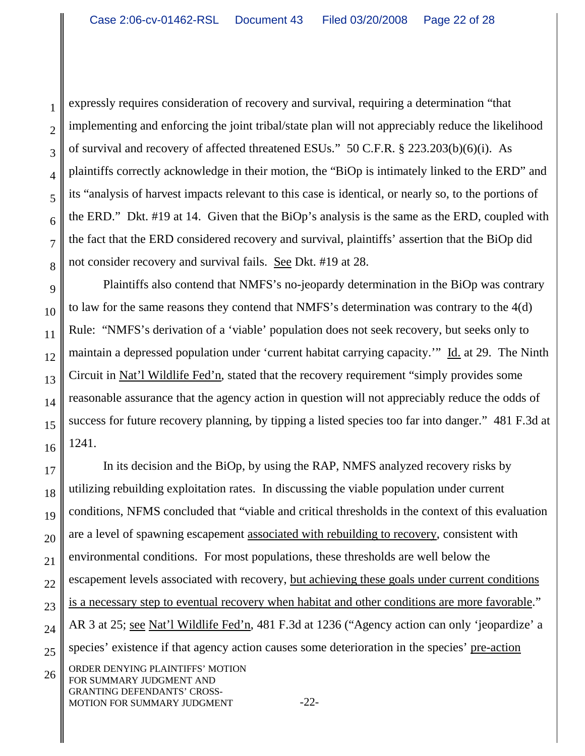expressly requires consideration of recovery and survival, requiring a determination "that implementing and enforcing the joint tribal/state plan will not appreciably reduce the likelihood of survival and recovery of affected threatened ESUs." 50 C.F.R. § 223.203(b)(6)(i). As plaintiffs correctly acknowledge in their motion, the "BiOp is intimately linked to the ERD" and its "analysis of harvest impacts relevant to this case is identical, or nearly so, to the portions of the ERD." Dkt. #19 at 14. Given that the BiOp's analysis is the same as the ERD, coupled with the fact that the ERD considered recovery and survival, plaintiffs' assertion that the BiOp did not consider recovery and survival fails. See Dkt. #19 at 28.

Plaintiffs also contend that NMFS's no-jeopardy determination in the BiOp was contrary to law for the same reasons they contend that NMFS's determination was contrary to the 4(d) Rule: "NMFS's derivation of a 'viable' population does not seek recovery, but seeks only to maintain a depressed population under 'current habitat carrying capacity.'" Id. at 29. The Ninth Circuit in Nat'l Wildlife Fed'n, stated that the recovery requirement "simply provides some reasonable assurance that the agency action in question will not appreciably reduce the odds of success for future recovery planning, by tipping a listed species too far into danger." 481 F.3d at 1241.

26 ORDER DENYING PLAINTIFFS' MOTION FOR SUMMARY JUDGMENT AND GRANTING DEFENDANTS' CROSS-In its decision and the BiOp, by using the RAP, NMFS analyzed recovery risks by utilizing rebuilding exploitation rates. In discussing the viable population under current conditions, NFMS concluded that "viable and critical thresholds in the context of this evaluation are a level of spawning escapement associated with rebuilding to recovery, consistent with environmental conditions. For most populations, these thresholds are well below the escapement levels associated with recovery, but achieving these goals under current conditions is a necessary step to eventual recovery when habitat and other conditions are more favorable." AR 3 at 25; see Nat'l Wildlife Fed'n, 481 F.3d at 1236 ("Agency action can only 'jeopardize' a species' existence if that agency action causes some deterioration in the species' pre-action

MOTION FOR SUMMARY JUDGMENT -22-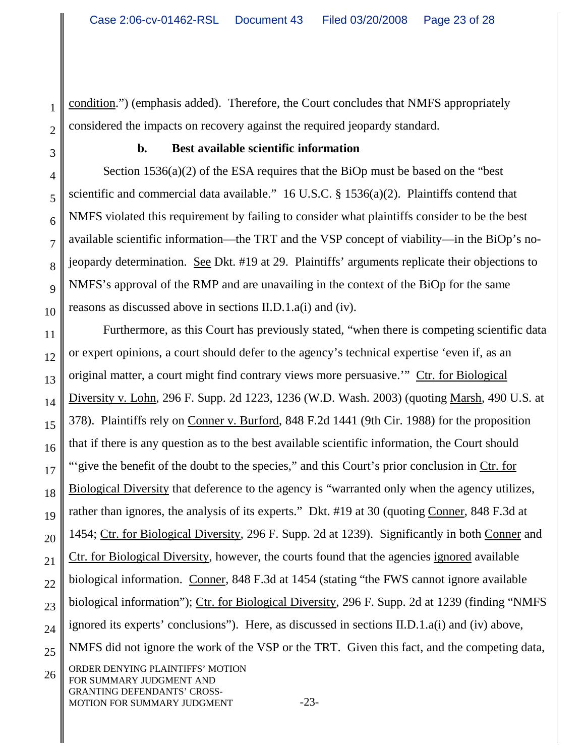condition.") (emphasis added). Therefore, the Court concludes that NMFS appropriately considered the impacts on recovery against the required jeopardy standard.

#### **b. Best available scientific information**

Section 1536(a)(2) of the ESA requires that the BiOp must be based on the "best scientific and commercial data available." 16 U.S.C. § 1536(a)(2). Plaintiffs contend that NMFS violated this requirement by failing to consider what plaintiffs consider to be the best available scientific information—the TRT and the VSP concept of viability—in the BiOp's nojeopardy determination. See Dkt. #19 at 29. Plaintiffs' arguments replicate their objections to NMFS's approval of the RMP and are unavailing in the context of the BiOp for the same reasons as discussed above in sections II.D.1.a(i) and (iv).

26 ORDER DENYING PLAINTIFFS' MOTION FOR SUMMARY JUDGMENT AND GRANTING DEFENDANTS' CROSS-MOTION FOR SUMMARY JUDGMENT -23-Furthermore, as this Court has previously stated, "when there is competing scientific data or expert opinions, a court should defer to the agency's technical expertise 'even if, as an original matter, a court might find contrary views more persuasive." Ctr. for Biological Diversity v. Lohn, 296 F. Supp. 2d 1223, 1236 (W.D. Wash. 2003) (quoting Marsh, 490 U.S. at 378). Plaintiffs rely on Conner v. Burford, 848 F.2d 1441 (9th Cir. 1988) for the proposition that if there is any question as to the best available scientific information, the Court should "give the benefit of the doubt to the species," and this Court's prior conclusion in Ctr. for Biological Diversity that deference to the agency is "warranted only when the agency utilizes, rather than ignores, the analysis of its experts." Dkt. #19 at 30 (quoting Conner, 848 F.3d at 1454; Ctr. for Biological Diversity, 296 F. Supp. 2d at 1239). Significantly in both Conner and Ctr. for Biological Diversity, however, the courts found that the agencies ignored available biological information. Conner, 848 F.3d at 1454 (stating "the FWS cannot ignore available biological information"); Ctr. for Biological Diversity, 296 F. Supp. 2d at 1239 (finding "NMFS ignored its experts' conclusions"). Here, as discussed in sections II.D.1.a(i) and (iv) above, NMFS did not ignore the work of the VSP or the TRT. Given this fact, and the competing data,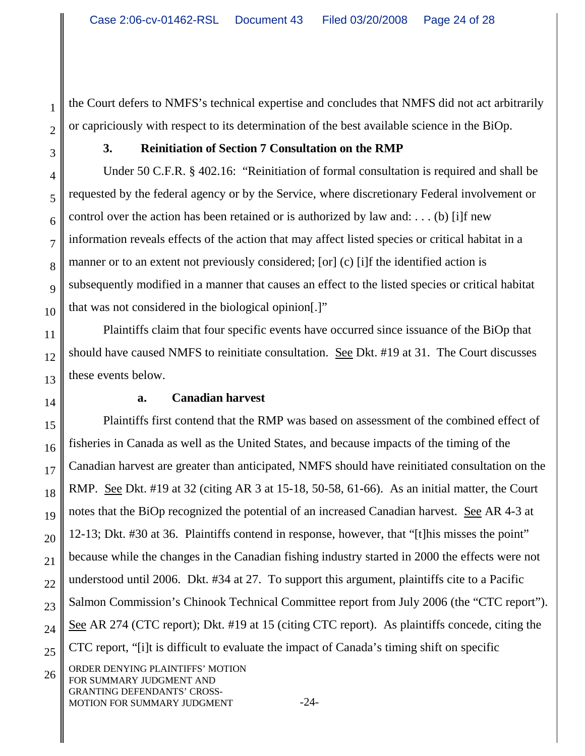the Court defers to NMFS's technical expertise and concludes that NMFS did not act arbitrarily or capriciously with respect to its determination of the best available science in the BiOp.

#### **3. Reinitiation of Section 7 Consultation on the RMP**

Under 50 C.F.R. § 402.16: "Reinitiation of formal consultation is required and shall be requested by the federal agency or by the Service, where discretionary Federal involvement or control over the action has been retained or is authorized by law and: . . . (b) [i]f new information reveals effects of the action that may affect listed species or critical habitat in a manner or to an extent not previously considered; [or] (c) [i]f the identified action is subsequently modified in a manner that causes an effect to the listed species or critical habitat that was not considered in the biological opinion[.]"

Plaintiffs claim that four specific events have occurred since issuance of the BiOp that should have caused NMFS to reinitiate consultation. See Dkt. #19 at 31. The Court discusses these events below.

#### **a. Canadian harvest**

26 ORDER DENYING PLAINTIFFS' MOTION FOR SUMMARY JUDGMENT AND GRANTING DEFENDANTS' CROSS-Plaintiffs first contend that the RMP was based on assessment of the combined effect of fisheries in Canada as well as the United States, and because impacts of the timing of the Canadian harvest are greater than anticipated, NMFS should have reinitiated consultation on the RMP. See Dkt. #19 at 32 (citing AR 3 at 15-18, 50-58, 61-66). As an initial matter, the Court notes that the BiOp recognized the potential of an increased Canadian harvest. See AR 4-3 at 12-13; Dkt. #30 at 36. Plaintiffs contend in response, however, that "[t]his misses the point" because while the changes in the Canadian fishing industry started in 2000 the effects were not understood until 2006. Dkt. #34 at 27. To support this argument, plaintiffs cite to a Pacific Salmon Commission's Chinook Technical Committee report from July 2006 (the "CTC report"). See AR 274 (CTC report); Dkt. #19 at 15 (citing CTC report). As plaintiffs concede, citing the CTC report, "[i]t is difficult to evaluate the impact of Canada's timing shift on specific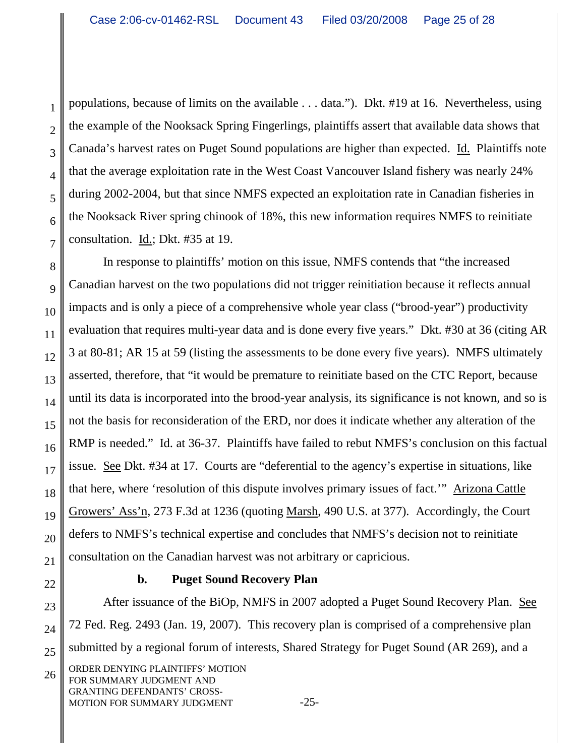populations, because of limits on the available . . . data."). Dkt. #19 at 16. Nevertheless, using the example of the Nooksack Spring Fingerlings, plaintiffs assert that available data shows that Canada's harvest rates on Puget Sound populations are higher than expected. Id. Plaintiffs note that the average exploitation rate in the West Coast Vancouver Island fishery was nearly 24% during 2002-2004, but that since NMFS expected an exploitation rate in Canadian fisheries in the Nooksack River spring chinook of 18%, this new information requires NMFS to reinitiate consultation. Id.; Dkt. #35 at 19.

In response to plaintiffs' motion on this issue, NMFS contends that "the increased Canadian harvest on the two populations did not trigger reinitiation because it reflects annual impacts and is only a piece of a comprehensive whole year class ("brood-year") productivity evaluation that requires multi-year data and is done every five years." Dkt. #30 at 36 (citing AR 3 at 80-81; AR 15 at 59 (listing the assessments to be done every five years). NMFS ultimately asserted, therefore, that "it would be premature to reinitiate based on the CTC Report, because until its data is incorporated into the brood-year analysis, its significance is not known, and so is not the basis for reconsideration of the ERD, nor does it indicate whether any alteration of the RMP is needed." Id. at 36-37. Plaintiffs have failed to rebut NMFS's conclusion on this factual issue. See Dkt. #34 at 17. Courts are "deferential to the agency's expertise in situations, like that here, where 'resolution of this dispute involves primary issues of fact.'" Arizona Cattle Growers' Ass'n, 273 F.3d at 1236 (quoting Marsh, 490 U.S. at 377). Accordingly, the Court defers to NMFS's technical expertise and concludes that NMFS's decision not to reinitiate consultation on the Canadian harvest was not arbitrary or capricious.

21 22

23

24

25

1

2

3

4

5

6

7

8

9

10

11

12

13

14

15

16

17

18

19

20

#### **b. Puget Sound Recovery Plan**

26 ORDER DENYING PLAINTIFFS' MOTION FOR SUMMARY JUDGMENT AND GRANTING DEFENDANTS' CROSS-MOTION FOR SUMMARY JUDGMENT -25-After issuance of the BiOp, NMFS in 2007 adopted a Puget Sound Recovery Plan. See 72 Fed. Reg. 2493 (Jan. 19, 2007). This recovery plan is comprised of a comprehensive plan submitted by a regional forum of interests, Shared Strategy for Puget Sound (AR 269), and a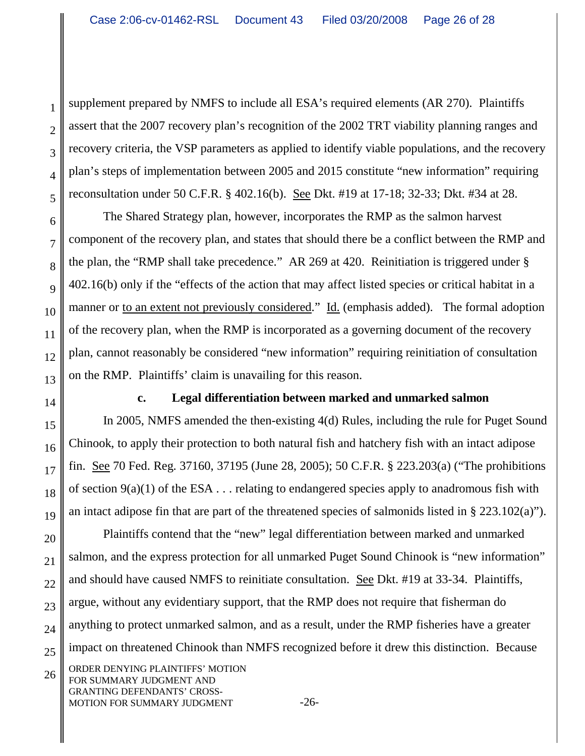supplement prepared by NMFS to include all ESA's required elements (AR 270). Plaintiffs assert that the 2007 recovery plan's recognition of the 2002 TRT viability planning ranges and recovery criteria, the VSP parameters as applied to identify viable populations, and the recovery plan's steps of implementation between 2005 and 2015 constitute "new information" requiring reconsultation under 50 C.F.R. § 402.16(b). See Dkt. #19 at 17-18; 32-33; Dkt. #34 at 28.

The Shared Strategy plan, however, incorporates the RMP as the salmon harvest component of the recovery plan, and states that should there be a conflict between the RMP and the plan, the "RMP shall take precedence." AR 269 at 420. Reinitiation is triggered under § 402.16(b) only if the "effects of the action that may affect listed species or critical habitat in a manner or to an extent not previously considered." Id. (emphasis added). The formal adoption of the recovery plan, when the RMP is incorporated as a governing document of the recovery plan, cannot reasonably be considered "new information" requiring reinitiation of consultation on the RMP. Plaintiffs' claim is unavailing for this reason.

## **c. Legal differentiation between marked and unmarked salmon**

In 2005, NMFS amended the then-existing 4(d) Rules, including the rule for Puget Sound Chinook, to apply their protection to both natural fish and hatchery fish with an intact adipose fin. See 70 Fed. Reg. 37160, 37195 (June 28, 2005); 50 C.F.R. § 223.203(a) ("The prohibitions of section  $9(a)(1)$  of the ESA . . . relating to endangered species apply to anadromous fish with an intact adipose fin that are part of the threatened species of salmonids listed in § 223.102(a)").

26 ORDER DENYING PLAINTIFFS' MOTION FOR SUMMARY JUDGMENT AND Plaintiffs contend that the "new" legal differentiation between marked and unmarked salmon, and the express protection for all unmarked Puget Sound Chinook is "new information" and should have caused NMFS to reinitiate consultation. See Dkt. #19 at 33-34. Plaintiffs, argue, without any evidentiary support, that the RMP does not require that fisherman do anything to protect unmarked salmon, and as a result, under the RMP fisheries have a greater impact on threatened Chinook than NMFS recognized before it drew this distinction. Because

GRANTING DEFENDANTS' CROSS-MOTION FOR SUMMARY JUDGMENT -26-

1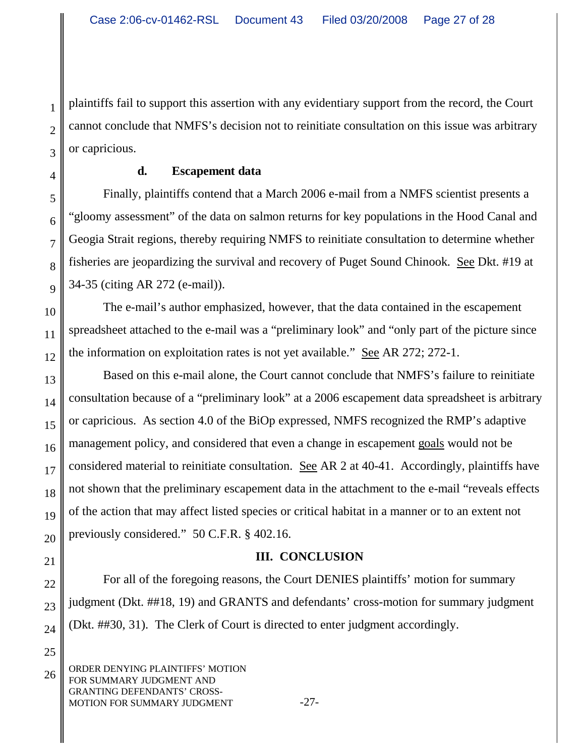plaintiffs fail to support this assertion with any evidentiary support from the record, the Court cannot conclude that NMFS's decision not to reinitiate consultation on this issue was arbitrary or capricious.

1

2

3

4

5

6

7

8

9

10

11

12

13

14

15

16

17

18

19

20

21

22

23

24

25

#### **d. Escapement data**

Finally, plaintiffs contend that a March 2006 e-mail from a NMFS scientist presents a "gloomy assessment" of the data on salmon returns for key populations in the Hood Canal and Geogia Strait regions, thereby requiring NMFS to reinitiate consultation to determine whether fisheries are jeopardizing the survival and recovery of Puget Sound Chinook. See Dkt. #19 at 34-35 (citing AR 272 (e-mail)).

The e-mail's author emphasized, however, that the data contained in the escapement spreadsheet attached to the e-mail was a "preliminary look" and "only part of the picture since the information on exploitation rates is not yet available." See AR 272; 272-1.

Based on this e-mail alone, the Court cannot conclude that NMFS's failure to reinitiate consultation because of a "preliminary look" at a 2006 escapement data spreadsheet is arbitrary or capricious. As section 4.0 of the BiOp expressed, NMFS recognized the RMP's adaptive management policy, and considered that even a change in escapement goals would not be considered material to reinitiate consultation. See AR 2 at 40-41. Accordingly, plaintiffs have not shown that the preliminary escapement data in the attachment to the e-mail "reveals effects of the action that may affect listed species or critical habitat in a manner or to an extent not previously considered." 50 C.F.R. § 402.16.

### **III. CONCLUSION**

For all of the foregoing reasons, the Court DENIES plaintiffs' motion for summary judgment (Dkt. ##18, 19) and GRANTS and defendants' cross-motion for summary judgment (Dkt. ##30, 31). The Clerk of Court is directed to enter judgment accordingly.

26 ORDER DENYING PLAINTIFFS' MOTION FOR SUMMARY JUDGMENT AND GRANTING DEFENDANTS' CROSS-MOTION FOR SUMMARY JUDGMENT -27